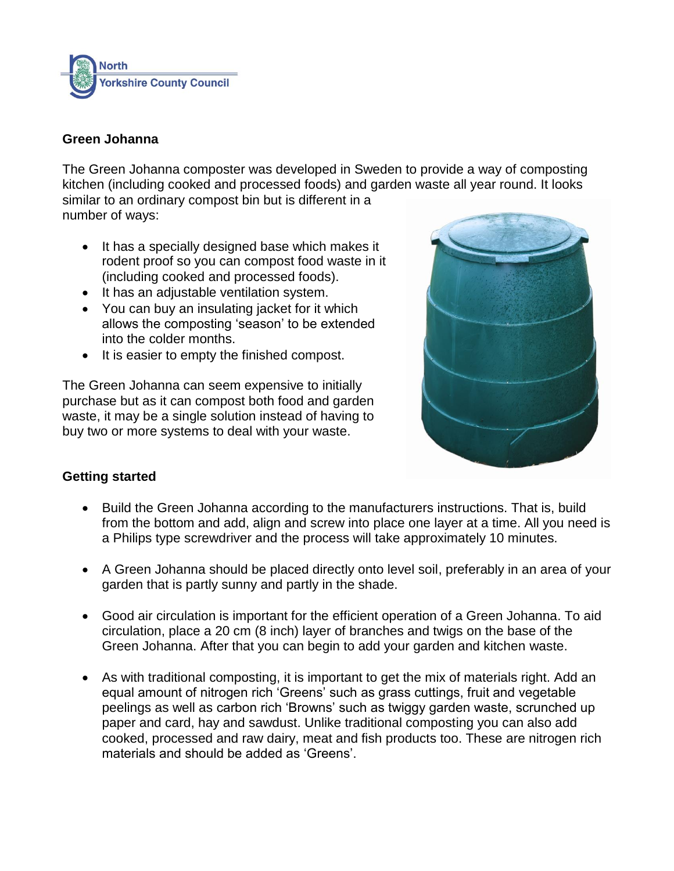

## **Green Johanna**

The Green Johanna composter was developed in Sweden to provide a way of composting kitchen (including cooked and processed foods) and garden waste all year round. It looks similar to an ordinary compost bin but is different in a number of ways:

- It has a specially designed base which makes it rodent proof so you can compost food waste in it (including cooked and processed foods).
- It has an adjustable ventilation system.
- You can buy an insulating jacket for it which allows the composting 'season' to be extended into the colder months.
- It is easier to empty the finished compost.

The Green Johanna can seem expensive to initially purchase but as it can compost both food and garden waste, it may be a single solution instead of having to buy two or more systems to deal with your waste.



# **Getting started**

- Build the Green Johanna according to the manufacturers instructions. That is, build from the bottom and add, align and screw into place one layer at a time. All you need is a Philips type screwdriver and the process will take approximately 10 minutes.
- A Green Johanna should be placed directly onto level soil, preferably in an area of your garden that is partly sunny and partly in the shade.
- Good air circulation is important for the efficient operation of a Green Johanna. To aid circulation, place a 20 cm (8 inch) layer of branches and twigs on the base of the Green Johanna. After that you can begin to add your garden and kitchen waste.
- As with traditional composting, it is important to get the mix of materials right. Add an equal amount of nitrogen rich 'Greens' such as grass cuttings, fruit and vegetable peelings as well as carbon rich 'Browns' such as twiggy garden waste, scrunched up paper and card, hay and sawdust. Unlike traditional composting you can also add cooked, processed and raw dairy, meat and fish products too. These are nitrogen rich materials and should be added as 'Greens'.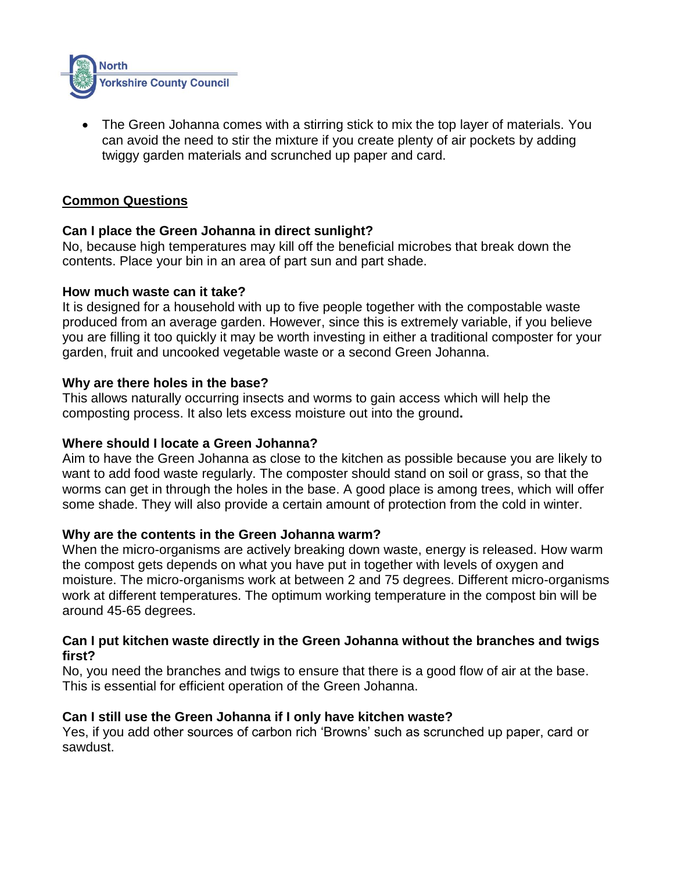

 The Green Johanna comes with a stirring stick to mix the top layer of materials. You can avoid the need to stir the mixture if you create plenty of air pockets by adding twiggy garden materials and scrunched up paper and card.

## **Common Questions**

## **Can I place the Green Johanna in direct sunlight?**

No, because high temperatures may kill off the beneficial microbes that break down the contents. Place your bin in an area of part sun and part shade.

### **How much waste can it take?**

It is designed for a household with up to five people together with the compostable waste produced from an average garden. However, since this is extremely variable, if you believe you are filling it too quickly it may be worth investing in either a traditional composter for your garden, fruit and uncooked vegetable waste or a second Green Johanna.

### **Why are there holes in the base?**

This allows naturally occurring insects and worms to gain access which will help the composting process. It also lets excess moisture out into the ground**.**

## **Where should I locate a Green Johanna?**

Aim to have the Green Johanna as close to the kitchen as possible because you are likely to want to add food waste regularly. The composter should stand on soil or grass, so that the worms can get in through the holes in the base. A good place is among trees, which will offer some shade. They will also provide a certain amount of protection from the cold in winter.

## **Why are the contents in the Green Johanna warm?**

When the micro-organisms are actively breaking down waste, energy is released. How warm the compost gets depends on what you have put in together with levels of oxygen and moisture. The micro-organisms work at between 2 and 75 degrees. Different micro-organisms work at different temperatures. The optimum working temperature in the compost bin will be around 45-65 degrees.

### **Can I put kitchen waste directly in the Green Johanna without the branches and twigs first?**

No, you need the branches and twigs to ensure that there is a good flow of air at the base. This is essential for efficient operation of the Green Johanna.

## **Can I still use the Green Johanna if I only have kitchen waste?**

Yes, if you add other sources of carbon rich 'Browns' such as scrunched up paper, card or sawdust.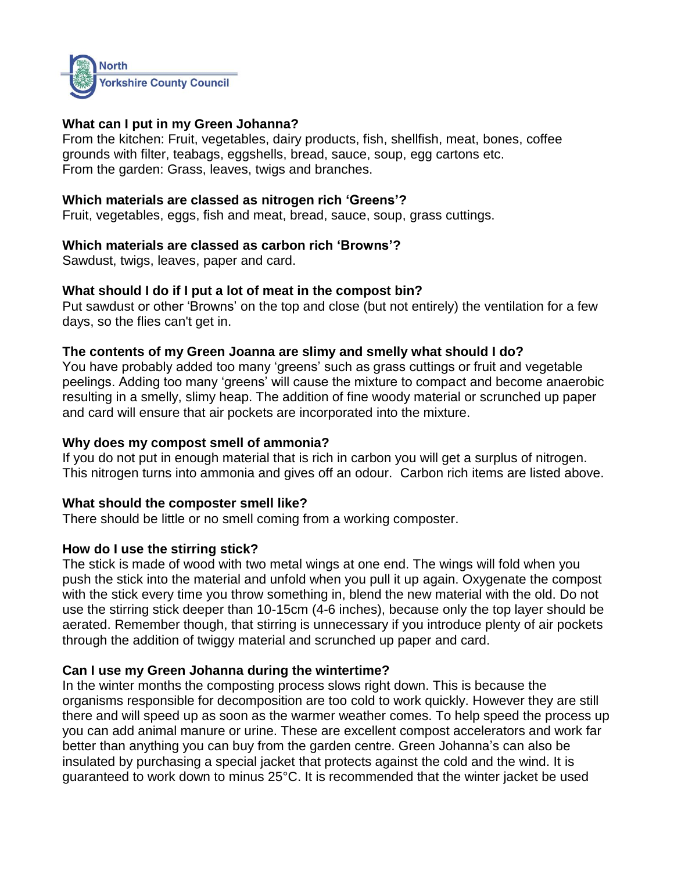

## **What can I put in my Green Johanna?**

From the kitchen: Fruit, vegetables, dairy products, fish, shellfish, meat, bones, coffee grounds with filter, teabags, eggshells, bread, sauce, soup, egg cartons etc. From the garden: Grass, leaves, twigs and branches.

## **Which materials are classed as nitrogen rich 'Greens'?**

Fruit, vegetables, eggs, fish and meat, bread, sauce, soup, grass cuttings.

## **Which materials are classed as carbon rich 'Browns'?**

Sawdust, twigs, leaves, paper and card.

## **What should I do if I put a lot of meat in the compost bin?**

Put sawdust or other 'Browns' on the top and close (but not entirely) the ventilation for a few days, so the flies can't get in.

## **The contents of my Green Joanna are slimy and smelly what should I do?**

You have probably added too many 'greens' such as grass cuttings or fruit and vegetable peelings. Adding too many 'greens' will cause the mixture to compact and become anaerobic resulting in a smelly, slimy heap. The addition of fine woody material or scrunched up paper and card will ensure that air pockets are incorporated into the mixture.

## **Why does my compost smell of ammonia?**

If you do not put in enough material that is rich in carbon you will get a surplus of nitrogen. This nitrogen turns into ammonia and gives off an odour. Carbon rich items are listed above.

# **What should the composter smell like?**

There should be little or no smell coming from a working composter.

# **How do I use the stirring stick?**

The stick is made of wood with two metal wings at one end. The wings will fold when you push the stick into the material and unfold when you pull it up again. Oxygenate the compost with the stick every time you throw something in, blend the new material with the old. Do not use the stirring stick deeper than 10-15cm (4-6 inches), because only the top layer should be aerated. Remember though, that stirring is unnecessary if you introduce plenty of air pockets through the addition of twiggy material and scrunched up paper and card.

# **Can I use my Green Johanna during the wintertime?**

In the winter months the composting process slows right down. This is because the organisms responsible for decomposition are too cold to work quickly. However they are still there and will speed up as soon as the warmer weather comes. To help speed the process up you can add animal manure or urine. These are excellent compost accelerators and work far better than anything you can buy from the garden centre. Green Johanna's can also be insulated by purchasing a special jacket that protects against the cold and the wind. It is guaranteed to work down to minus 25°C. It is recommended that the winter jacket be used